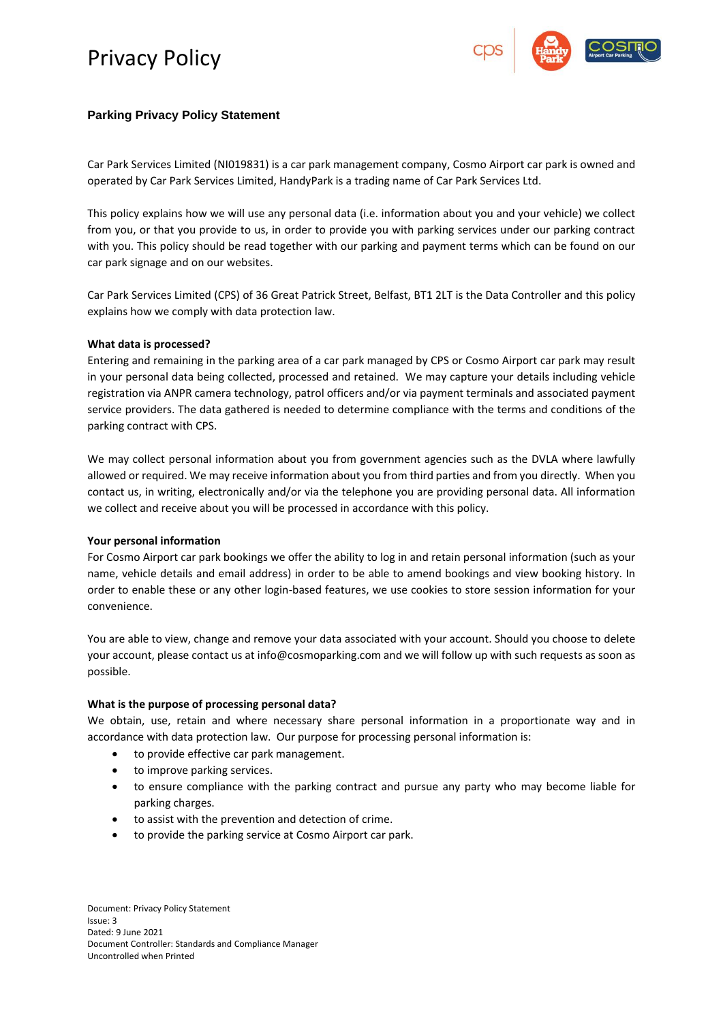

## **Parking Privacy Policy Statement**

Car Park Services Limited (NI019831) is a car park management company, Cosmo Airport car park is owned and operated by Car Park Services Limited, HandyPark is a trading name of Car Park Services Ltd.

This policy explains how we will use any personal data (i.e. information about you and your vehicle) we collect from you, or that you provide to us, in order to provide you with parking services under our parking contract with you. This policy should be read together with our parking and payment terms which can be found on our car park signage and on our websites.

Car Park Services Limited (CPS) of 36 Great Patrick Street, Belfast, BT1 2LT is the Data Controller and this policy explains how we comply with data protection law.

### **What data is processed?**

Entering and remaining in the parking area of a car park managed by CPS or Cosmo Airport car park may result in your personal data being collected, processed and retained. We may capture your details including vehicle registration via ANPR camera technology, patrol officers and/or via payment terminals and associated payment service providers. The data gathered is needed to determine compliance with the terms and conditions of the parking contract with CPS.

We may collect personal information about you from government agencies such as the DVLA where lawfully allowed or required. We may receive information about you from third parties and from you directly. When you contact us, in writing, electronically and/or via the telephone you are providing personal data. All information we collect and receive about you will be processed in accordance with this policy.

### **Your personal information**

For Cosmo Airport car park bookings we offer the ability to log in and retain personal information (such as your name, vehicle details and email address) in order to be able to amend bookings and view booking history. In order to enable these or any other login-based features, we use cookies to store session information for your convenience.

You are able to view, change and remove your data associated with your account. Should you choose to delete your account, please contact us at info@cosmoparking.com and we will follow up with such requests as soon as possible.

### **What is the purpose of processing personal data?**

We obtain, use, retain and where necessary share personal information in a proportionate way and in accordance with data protection law. Our purpose for processing personal information is:

- to provide effective car park management.
- to improve parking services.
- to ensure compliance with the parking contract and pursue any party who may become liable for parking charges.
- to assist with the prevention and detection of crime.
- to provide the parking service at Cosmo Airport car park.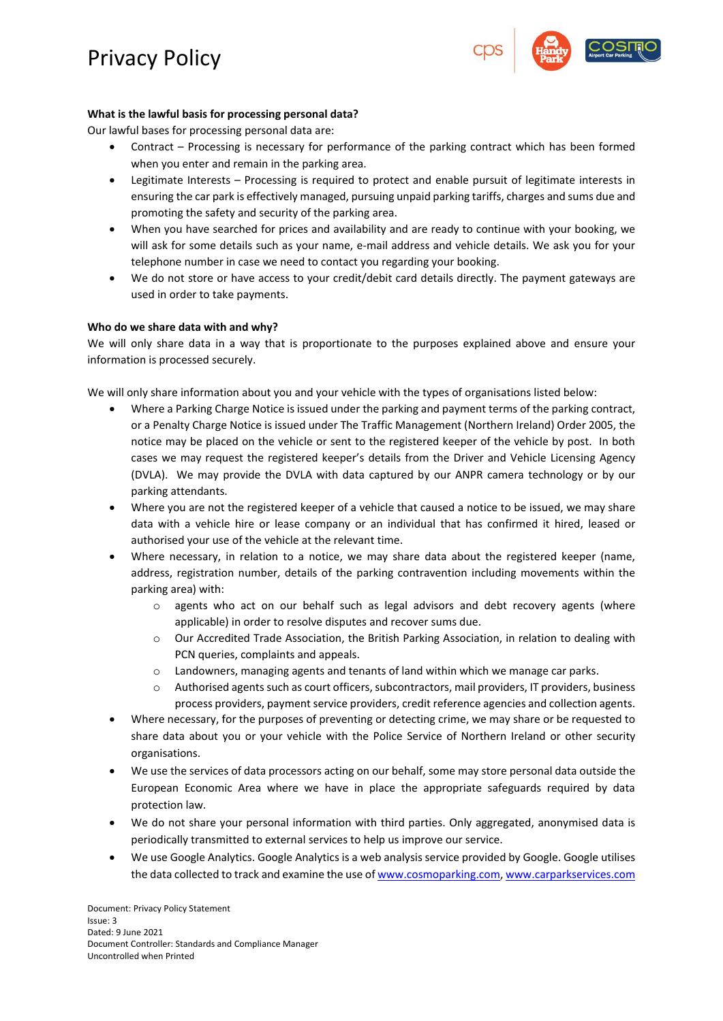

## **What is the lawful basis for processing personal data?**

Our lawful bases for processing personal data are:

- Contract Processing is necessary for performance of the parking contract which has been formed when you enter and remain in the parking area.
- Legitimate Interests Processing is required to protect and enable pursuit of legitimate interests in ensuring the car park is effectively managed, pursuing unpaid parking tariffs, charges and sums due and promoting the safety and security of the parking area.
- When you have searched for prices and availability and are ready to continue with your booking, we will ask for some details such as your name, e-mail address and vehicle details. We ask you for your telephone number in case we need to contact you regarding your booking.
- We do not store or have access to your credit/debit card details directly. The payment gateways are used in order to take payments.

## **Who do we share data with and why?**

We will only share data in a way that is proportionate to the purposes explained above and ensure your information is processed securely.

We will only share information about you and your vehicle with the types of organisations listed below:

- Where a Parking Charge Notice is issued under the parking and payment terms of the parking contract, or a Penalty Charge Notice is issued under The Traffic Management (Northern Ireland) Order 2005, the notice may be placed on the vehicle or sent to the registered keeper of the vehicle by post. In both cases we may request the registered keeper's details from the Driver and Vehicle Licensing Agency (DVLA). We may provide the DVLA with data captured by our ANPR camera technology or by our parking attendants.
- Where you are not the registered keeper of a vehicle that caused a notice to be issued, we may share data with a vehicle hire or lease company or an individual that has confirmed it hired, leased or authorised your use of the vehicle at the relevant time.
- Where necessary, in relation to a notice, we may share data about the registered keeper (name, address, registration number, details of the parking contravention including movements within the parking area) with:
	- $\circ$  agents who act on our behalf such as legal advisors and debt recovery agents (where applicable) in order to resolve disputes and recover sums due.
	- o Our Accredited Trade Association, the British Parking Association, in relation to dealing with PCN queries, complaints and appeals.
	- $\circ$  Landowners, managing agents and tenants of land within which we manage car parks.
	- $\circ$  Authorised agents such as court officers, subcontractors, mail providers, IT providers, business process providers, payment service providers, credit reference agencies and collection agents.
- Where necessary, for the purposes of preventing or detecting crime, we may share or be requested to share data about you or your vehicle with the Police Service of Northern Ireland or other security organisations.
- We use the services of data processors acting on our behalf, some may store personal data outside the European Economic Area where we have in place the appropriate safeguards required by data protection law.
- We do not share your personal information with third parties. Only aggregated, anonymised data is periodically transmitted to external services to help us improve our service.
- We use Google Analytics. Google Analytics is a web analysis service provided by Google. Google utilises the data collected to track and examine the use o[f www.cosmoparking.com,](http://www.cosmoparking.com/) [www.carparkservices.com](http://www.carparkservices.com/)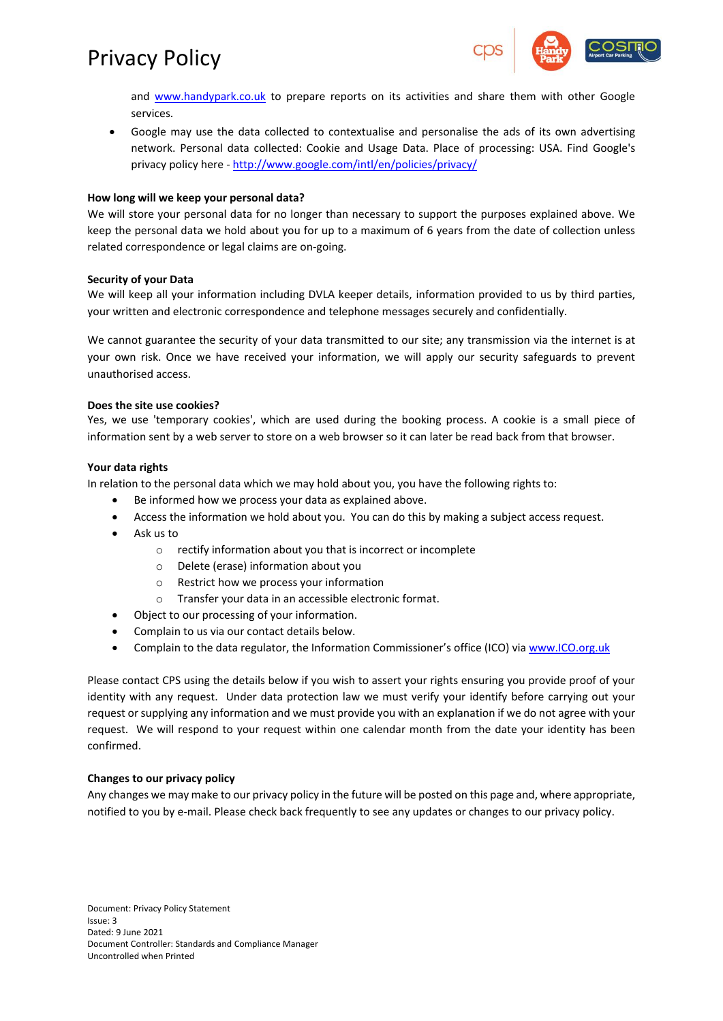

and [www.handypark.co.uk](http://www.handypark.co.uk/) to prepare reports on its activities and share them with other Google services.

• Google may use the data collected to contextualise and personalise the ads of its own advertising network. Personal data collected: Cookie and Usage Data. Place of processing: USA. Find Google's privacy policy here - <http://www.google.com/intl/en/policies/privacy/>

### **How long will we keep your personal data?**

We will store your personal data for no longer than necessary to support the purposes explained above. We keep the personal data we hold about you for up to a maximum of 6 years from the date of collection unless related correspondence or legal claims are on-going.

### **Security of your Data**

We will keep all your information including DVLA keeper details, information provided to us by third parties, your written and electronic correspondence and telephone messages securely and confidentially.

We cannot guarantee the security of your data transmitted to our site; any transmission via the internet is at your own risk. Once we have received your information, we will apply our security safeguards to prevent unauthorised access.

## **Does the site use cookies?**

Yes, we use 'temporary cookies', which are used during the booking process. A cookie is a small piece of information sent by a web server to store on a web browser so it can later be read back from that browser.

### **Your data rights**

In relation to the personal data which we may hold about you, you have the following rights to:

- Be informed how we process your data as explained above.
- Access the information we hold about you. You can do this by making a subject access request.
- Ask us to
	- o rectify information about you that is incorrect or incomplete
	- o Delete (erase) information about you
	- o Restrict how we process your information
	- o Transfer your data in an accessible electronic format.
- Object to our processing of your information.
- Complain to us via our contact details below.
- Complain to the data regulator, the Information Commissioner's office (ICO) via [www.ICO.org.uk](http://www.ico.org.uk/)

Please contact CPS using the details below if you wish to assert your rights ensuring you provide proof of your identity with any request. Under data protection law we must verify your identify before carrying out your request or supplying any information and we must provide you with an explanation if we do not agree with your request. We will respond to your request within one calendar month from the date your identity has been confirmed.

### **Changes to our privacy policy**

Any changes we may make to our privacy policy in the future will be posted on this page and, where appropriate, notified to you by e-mail. Please check back frequently to see any updates or changes to our privacy policy.